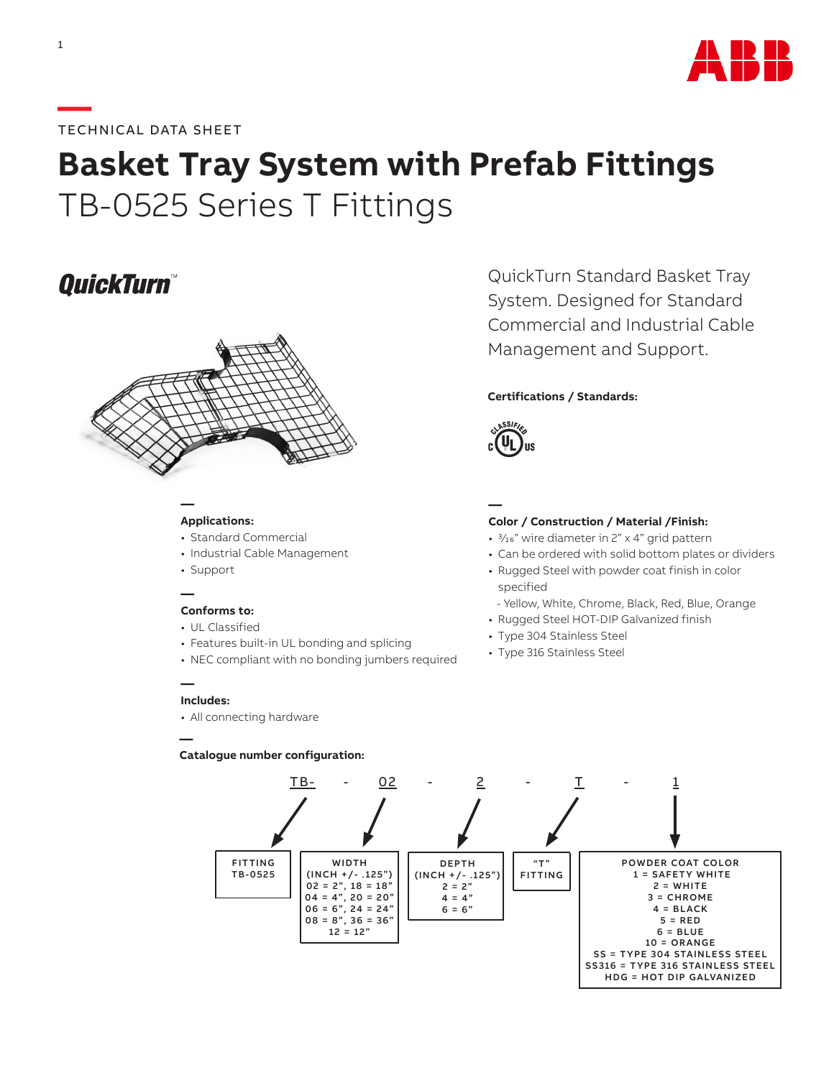

#### **—**TECHNICAL DATA SHEET

# **Basket Tray System with Prefab Fittings** TB-0525 Series T Fittings

## **OuickTurn™**



#### **Applications:**

**—**

- Standard Commercial
- Industrial Cable Management
- Support

#### **— Conforms to:**

- UL Classified
- Features built-in UL bonding and splicing
- NEC compliant with no bonding jumbers required

#### **— Includes:**

**—**

• All connecting hardware

#### **Catalogue number configuration:**

QuickTurn Standard Basket Tray System. Designed for Standard Commercial and Industrial Cable Management and Support.

#### **Certifications / Standards:**



### **—**

#### **Color / Construction / Material /Finish:**

- 3/16" wire diameter in 2" x 4" grid pattern
- Can be ordered with solid bottom plates or dividers
- Rugged Steel with powder coat finish in color specified
- Yellow, White, Chrome, Black, Red, Blue, Orange
- Rugged Steel HOT-DIP Galvanized finish
- Type 304 Stainless Steel
- Type 316 Stainless Steel